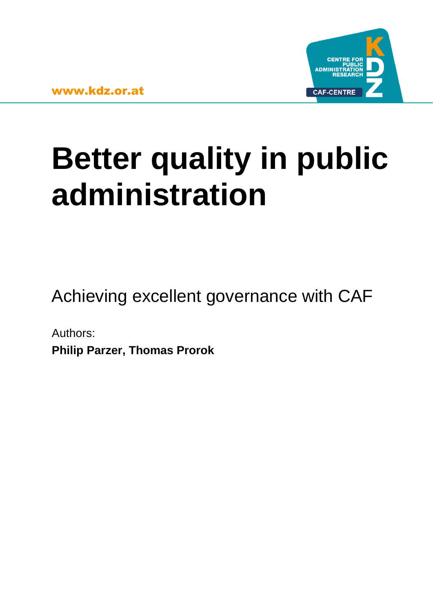

# **Better quality in public administration**

Achieving excellent governance with CAF

Authors: **Philip Parzer, Thomas Prorok**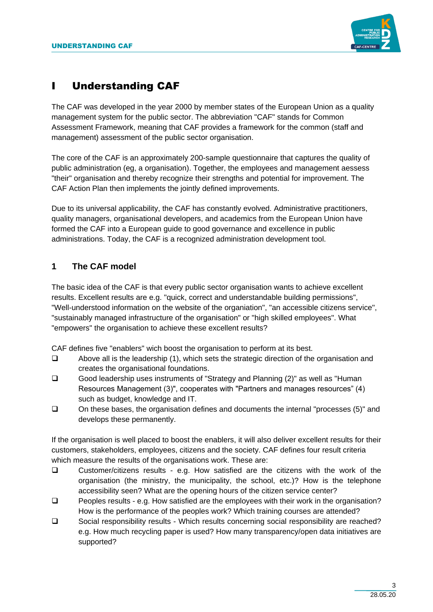

# **Understanding CAF**

The CAF was developed in the year 2000 by member states of the European Union as a quality management system for the public sector. The abbreviation "CAF" stands for Common Assessment Framework, meaning that CAF provides a framework for the common (staff and management) assessment of the public sector organisation.

The core of the CAF is an approximately 200-sample questionnaire that captures the quality of public administration (eg, a organisation). Together, the employees and management aessess "their" organisation and thereby recognize their strengths and potential for improvement. The CAF Action Plan then implements the jointly defined improvements.

Due to its universal applicability, the CAF has constantly evolved. Administrative practitioners, quality managers, organisational developers, and academics from the European Union have formed the CAF into a European guide to good governance and excellence in public administrations. Today, the CAF is a recognized administration development tool.

# **1 The CAF model**

The basic idea of the CAF is that every public sector organisation wants to achieve excellent results. Excellent results are e.g. "quick, correct and understandable building permissions", "Well-understood information on the website of the organiation", "an accessible citizens service", "sustainably managed infrastructure of the organisation" or "high skilled employees". What "empowers" the organisation to achieve these excellent results?

CAF defines five "enablers" wich boost the organisation to perform at its best.

- ❑ Above all is the leadership (1), which sets the strategic direction of the organisation and creates the organisational foundations.
- ❑ Good leadership uses instruments of "Strategy and Planning (2)" as well as "Human Resources Management (3)", cooperates with "Partners and manages resources" (4) such as budget, knowledge and IT.
- ❑ On these bases, the organisation defines and documents the internal "processes (5)" and develops these permanently.

If the organisation is well placed to boost the enablers, it will also deliver excellent results for their customers, stakeholders, employees, citizens and the society. CAF defines four result criteria which measure the results of the organisations work. These are:

- ❑ Customer/citizens results e.g. How satisfied are the citizens with the work of the organisation (the ministry, the municipality, the school, etc.)? How is the telephone accessibility seen? What are the opening hours of the citizen service center?
- ❑ Peoples results e.g. How satisfied are the employees with their work in the organisation? How is the performance of the peoples work? Which training courses are attended?
- ❑ Social responsibility results Which results concerning social responsibility are reached? e.g. How much recycling paper is used? How many transparency/open data initiatives are supported?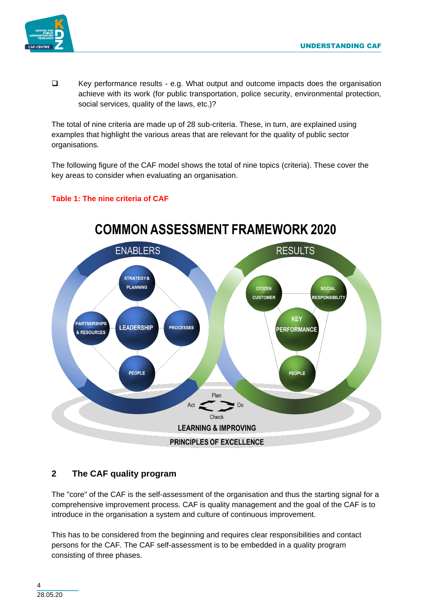

❑ Key performance results - e.g. What output and outcome impacts does the organisation achieve with its work (for public transportation, police security, environmental protection, social services, quality of the laws, etc.)?

The total of nine criteria are made up of 28 sub-criteria. These, in turn, are explained using examples that highlight the various areas that are relevant for the quality of public sector organisations.

The following figure of the CAF model shows the total of nine topics (criteria). These cover the key areas to consider when evaluating an organisation.





# **COMMON ASSESSMENT FRAMEWORK 2020**

# **2 The CAF quality program**

The "core" of the CAF is the self-assessment of the organisation and thus the starting signal for a comprehensive improvement process. CAF is quality management and the goal of the CAF is to introduce in the organisation a system and culture of continuous improvement.

This has to be considered from the beginning and requires clear responsibilities and contact persons for the CAF. The CAF self-assessment is to be embedded in a quality program consisting of three phases.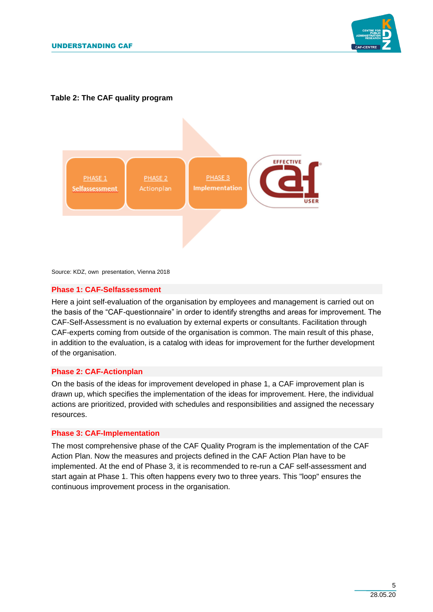

# **Table 2: The CAF quality program**



Source: KDZ, own presentation, Vienna 2018

#### **Phase 1: CAF-Selfassessment**

Here a joint self-evaluation of the organisation by employees and management is carried out on the basis of the "CAF-questionnaire" in order to identify strengths and areas for improvement. The CAF-Self-Assessment is no evaluation by external experts or consultants. Facilitation through CAF-experts coming from outside of the organisation is common. The main result of this phase, in addition to the evaluation, is a catalog with ideas for improvement for the further development of the organisation.

# **Phase 2: CAF-Actionplan**

On the basis of the ideas for improvement developed in phase 1, a CAF improvement plan is drawn up, which specifies the implementation of the ideas for improvement. Here, the individual actions are prioritized, provided with schedules and responsibilities and assigned the necessary resources.

#### **Phase 3: CAF-Implementation**

The most comprehensive phase of the CAF Quality Program is the implementation of the CAF Action Plan. Now the measures and projects defined in the CAF Action Plan have to be implemented. At the end of Phase 3, it is recommended to re-run a CAF self-assessment and start again at Phase 1. This often happens every two to three years. This "loop" ensures the continuous improvement process in the organisation.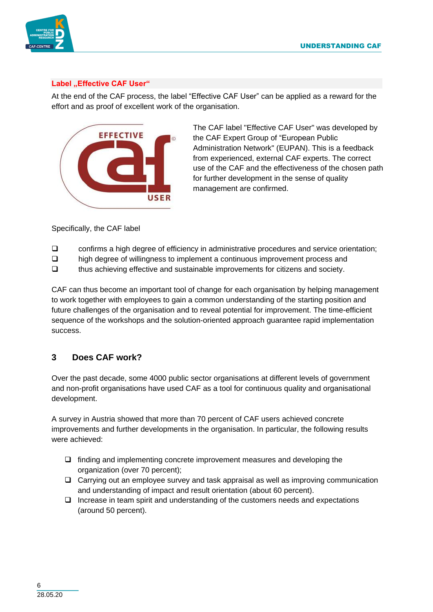

# Label "Effective CAF User"

At the end of the CAF process, the label "Effective CAF User" can be applied as a reward for the effort and as proof of excellent work of the organisation.



The CAF label "Effective CAF User" was developed by the CAF Expert Group of "European Public Administration Network" (EUPAN). This is a feedback from experienced, external CAF experts. The correct use of the CAF and the effectiveness of the chosen path for further development in the sense of quality management are confirmed.

Specifically, the CAF label

- ❑ confirms a high degree of efficiency in administrative procedures and service orientation;
- ❑ high degree of willingness to implement a continuous improvement process and
- ❑ thus achieving effective and sustainable improvements for citizens and society.

CAF can thus become an important tool of change for each organisation by helping management to work together with employees to gain a common understanding of the starting position and future challenges of the organisation and to reveal potential for improvement. The time-efficient sequence of the workshops and the solution-oriented approach guarantee rapid implementation success.

# **3 Does CAF work?**

Over the past decade, some 4000 public sector organisations at different levels of government and non-profit organisations have used CAF as a tool for continuous quality and organisational development.

A survey in Austria showed that more than 70 percent of CAF users achieved concrete improvements and further developments in the organisation. In particular, the following results were achieved:

- ❑ finding and implementing concrete improvement measures and developing the organization (over 70 percent);
- ❑ Carrying out an employee survey and task appraisal as well as improving communication and understanding of impact and result orientation (about 60 percent).
- ❑ Increase in team spirit and understanding of the customers needs and expectations (around 50 percent).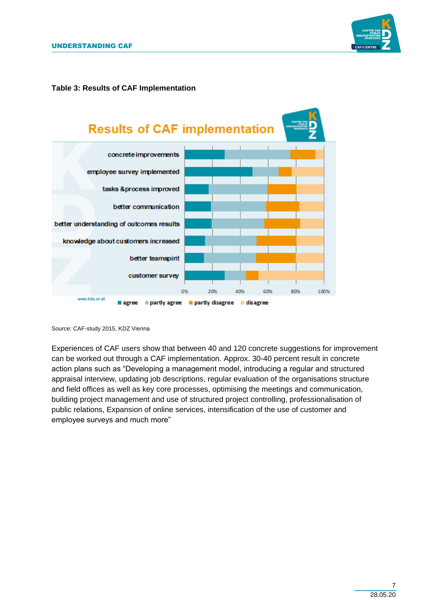

### **Table 3: Results of CAF Implementation**



Source: CAF-study 2015, KDZ Vienna

Experiences of CAF users show that between 40 and 120 concrete suggestions for improvement can be worked out through a CAF implementation. Approx. 30-40 percent result in concrete action plans such as "Developing a management model, introducing a regular and structured appraisal interview, updating job descriptions, regular evaluation of the organisations structure and field offices as well as key core processes, optimising the meetings and communication, building project management and use of structured project controlling, professionalisation of public relations, Expansion of online services, intensification of the use of customer and employee surveys and much more"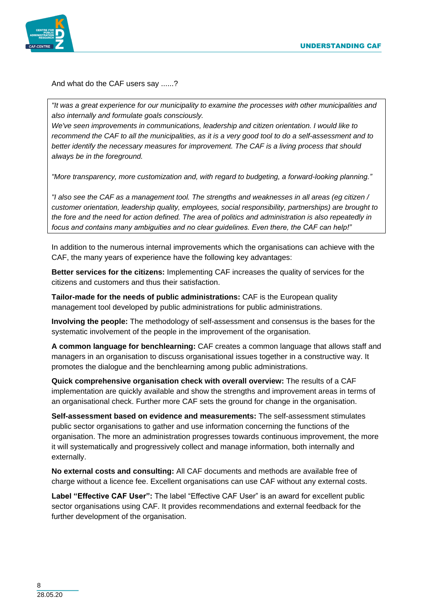



And what do the CAF users say ......?

*"It was a great experience for our municipality to examine the processes with other municipalities and also internally and formulate goals consciously.*

*We've seen improvements in communications, leadership and citizen orientation. I would like to recommend the CAF to all the municipalities, as it is a very good tool to do a self-assessment and to better identify the necessary measures for improvement. The CAF is a living process that should always be in the foreground.* 

*"More transparency, more customization and, with regard to budgeting, a forward-looking planning."*

*"I also see the CAF as a management tool. The strengths and weaknesses in all areas (eg citizen / customer orientation, leadership quality, employees, social responsibility, partnerships) are brought to the fore and the need for action defined. The area of politics and administration is also repeatedly in focus and contains many ambiguities and no clear guidelines. Even there, the CAF can help!"*

In addition to the numerous internal improvements which the organisations can achieve with the CAF, the many years of experience have the following key advantages:

**Better services for the citizens:** Implementing CAF increases the quality of services for the citizens and customers and thus their satisfaction.

**Tailor-made for the needs of public administrations:** CAF is the European quality management tool developed by public administrations for public administrations.

**Involving the people:** The methodology of self-assessment and consensus is the bases for the systematic involvement of the people in the improvement of the organisation.

**A common language for benchlearning:** CAF creates a common language that allows staff and managers in an organisation to discuss organisational issues together in a constructive way. It promotes the dialogue and the benchlearning among public administrations.

**Quick comprehensive organisation check with overall overview:** The results of a CAF implementation are quickly available and show the strengths and improvement areas in terms of an organisational check. Further more CAF sets the ground for change in the organisation.

**Self-assessment based on evidence and measurements:** The self-assessment stimulates public sector organisations to gather and use information concerning the functions of the organisation. The more an administration progresses towards continuous improvement, the more it will systematically and progressively collect and manage information, both internally and externally.

**No external costs and consulting:** All CAF documents and methods are available free of charge without a licence fee. Excellent organisations can use CAF without any external costs.

**Label "Effective CAF User":** The label "Effective CAF User" is an award for excellent public sector organisations using CAF. It provides recommendations and external feedback for the further development of the organisation.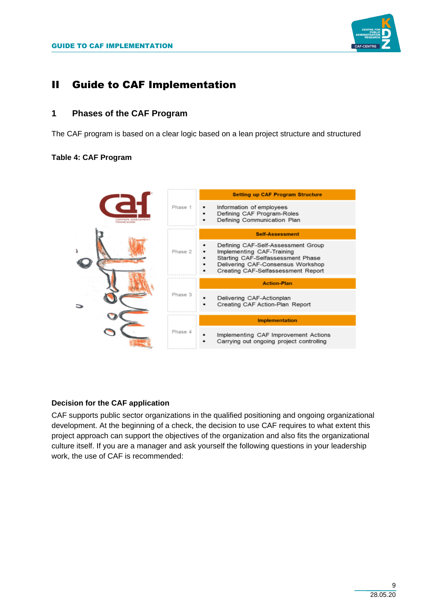

# II Guide to CAF Implementation

# **1 Phases of the CAF Program**

The CAF program is based on a clear logic based on a lean project structure and structured

# **Table 4: CAF Program**



# **Decision for the CAF application**

CAF supports public sector organizations in the qualified positioning and ongoing organizational development. At the beginning of a check, the decision to use CAF requires to what extent this project approach can support the objectives of the organization and also fits the organizational culture itself. If you are a manager and ask yourself the following questions in your leadership work, the use of CAF is recommended: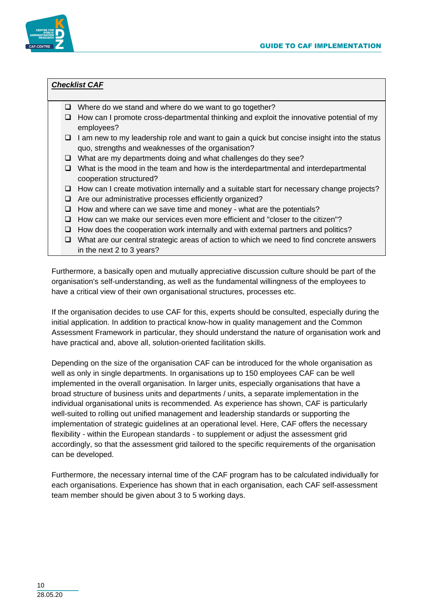

# *Checklist CAF*

- ❑ Where do we stand and where do we want to go together?
- ❑ How can I promote cross-departmental thinking and exploit the innovative potential of my employees?
- ❑ I am new to my leadership role and want to gain a quick but concise insight into the status quo, strengths and weaknesses of the organisation?
- ❑ What are my departments doing and what challenges do they see?
- ❑ What is the mood in the team and how is the interdepartmental and interdepartmental cooperation structured?
- ❑ How can I create motivation internally and a suitable start for necessary change projects?
- ❑ Are our administrative processes efficiently organized?
- ❑ How and where can we save time and money what are the potentials?
- ❑ How can we make our services even more efficient and "closer to the citizen"?
- ❑ How does the cooperation work internally and with external partners and politics?
- ❑ What are our central strategic areas of action to which we need to find concrete answers in the next 2 to 3 years?

Furthermore, a basically open and mutually appreciative discussion culture should be part of the organisation's self-understanding, as well as the fundamental willingness of the employees to have a critical view of their own organisational structures, processes etc.

If the organisation decides to use CAF for this, experts should be consulted, especially during the initial application. In addition to practical know-how in quality management and the Common Assessment Framework in particular, they should understand the nature of organisation work and have practical and, above all, solution-oriented facilitation skills.

Depending on the size of the organisation CAF can be introduced for the whole organisation as well as only in single departments. In organisations up to 150 employees CAF can be well implemented in the overall organisation. In larger units, especially organisations that have a broad structure of business units and departments / units, a separate implementation in the individual organisational units is recommended. As experience has shown, CAF is particularly well-suited to rolling out unified management and leadership standards or supporting the implementation of strategic guidelines at an operational level. Here, CAF offers the necessary flexibility - within the European standards - to supplement or adjust the assessment grid accordingly, so that the assessment grid tailored to the specific requirements of the organisation can be developed.

Furthermore, the necessary internal time of the CAF program has to be calculated individually for each organisations. Experience has shown that in each organisation, each CAF self-assessment team member should be given about 3 to 5 working days.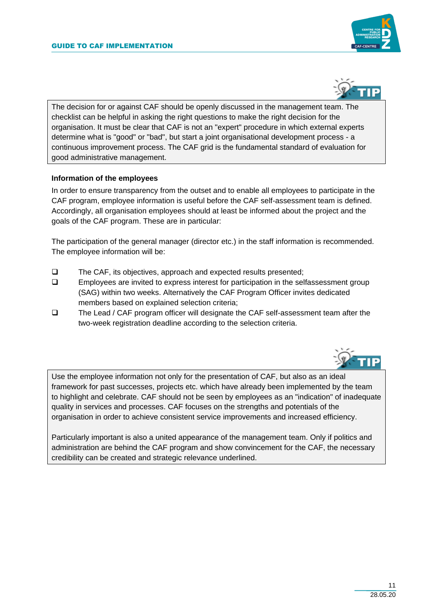



The decision for or against CAF should be openly discussed in the management team. The checklist can be helpful in asking the right questions to make the right decision for the organisation. It must be clear that CAF is not an "expert" procedure in which external experts determine what is "good" or "bad", but start a joint organisational development process - a continuous improvement process. The CAF grid is the fundamental standard of evaluation for good administrative management.

### **Information of the employees**

In order to ensure transparency from the outset and to enable all employees to participate in the CAF program, employee information is useful before the CAF self-assessment team is defined. Accordingly, all organisation employees should at least be informed about the project and the goals of the CAF program. These are in particular:

The participation of the general manager (director etc.) in the staff information is recommended. The employee information will be:

- ❑ The CAF, its objectives, approach and expected results presented;
- ❑ Employees are invited to express interest for participation in the selfassessment group (SAG) within two weeks. Alternatively the CAF Program Officer invites dedicated members based on explained selection criteria;
- ❑ The Lead / CAF program officer will designate the CAF self-assessment team after the two-week registration deadline according to the selection criteria.



Use the employee information not only for the presentation of CAF, but also as an ideal framework for past successes, projects etc. which have already been implemented by the team to highlight and celebrate. CAF should not be seen by employees as an "indication" of inadequate quality in services and processes. CAF focuses on the strengths and potentials of the organisation in order to achieve consistent service improvements and increased efficiency.

Particularly important is also a united appearance of the management team. Only if politics and administration are behind the CAF program and show convincement for the CAF, the necessary credibility can be created and strategic relevance underlined.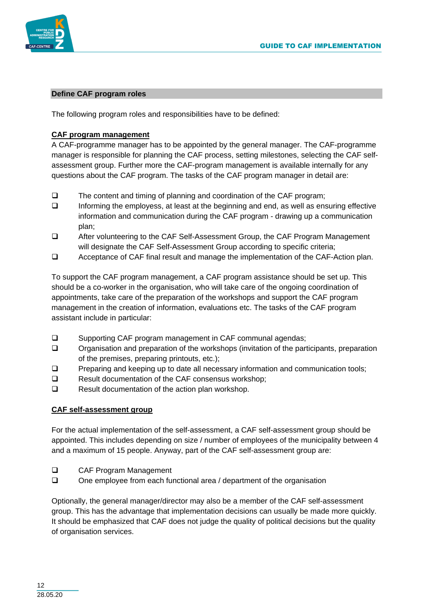

### **Define CAF program roles**

The following program roles and responsibilities have to be defined:

# **CAF program management**

A CAF-programme manager has to be appointed by the general manager. The CAF-programme manager is responsible for planning the CAF process, setting milestones, selecting the CAF selfassessment group. Further more the CAF-program management is available internally for any questions about the CAF program. The tasks of the CAF program manager in detail are:

- ❑ The content and timing of planning and coordination of the CAF program;
- ❑ Informing the employess, at least at the beginning and end, as well as ensuring effective information and communication during the CAF program - drawing up a communication plan;
- ❑ After volunteering to the CAF Self-Assessment Group, the CAF Program Management will designate the CAF Self-Assessment Group according to specific criteria;
- ❑ Acceptance of CAF final result and manage the implementation of the CAF-Action plan.

To support the CAF program management, a CAF program assistance should be set up. This should be a co-worker in the organisation, who will take care of the ongoing coordination of appointments, take care of the preparation of the workshops and support the CAF program management in the creation of information, evaluations etc. The tasks of the CAF program assistant include in particular:

- ❑ Supporting CAF program management in CAF communal agendas;
- ❑ Organisation and preparation of the workshops (invitation of the participants, preparation of the premises, preparing printouts, etc.);
- ❑ Preparing and keeping up to date all necessary information and communication tools;
- ❑ Result documentation of the CAF consensus workshop;
- ❑ Result documentation of the action plan workshop.

#### **CAF self-assessment group**

For the actual implementation of the self-assessment, a CAF self-assessment group should be appointed. This includes depending on size / number of employees of the municipality between 4 and a maximum of 15 people. Anyway, part of the CAF self-assessment group are:

- ❑ CAF Program Management
- ❑ One employee from each functional area / department of the organisation

Optionally, the general manager/director may also be a member of the CAF self-assessment group. This has the advantage that implementation decisions can usually be made more quickly. It should be emphasized that CAF does not judge the quality of political decisions but the quality of organisation services.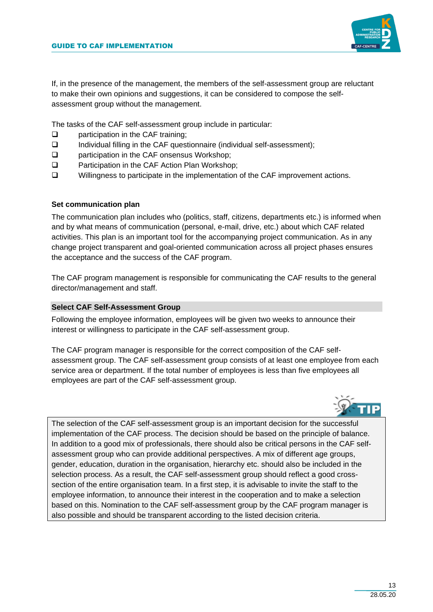

If, in the presence of the management, the members of the self-assessment group are reluctant to make their own opinions and suggestions, it can be considered to compose the selfassessment group without the management.

The tasks of the CAF self-assessment group include in particular:

- ❑ participation in the CAF training;
- ❑ Individual filling in the CAF questionnaire (individual self-assessment);
- ❑ participation in the CAF onsensus Workshop;
- ❑ Participation in the CAF Action Plan Workshop;
- ❑ Willingness to participate in the implementation of the CAF improvement actions.

#### **Set communication plan**

The communication plan includes who (politics, staff, citizens, departments etc.) is informed when and by what means of communication (personal, e-mail, drive, etc.) about which CAF related activities. This plan is an important tool for the accompanying project communication. As in any change project transparent and goal-oriented communication across all project phases ensures the acceptance and the success of the CAF program.

The CAF program management is responsible for communicating the CAF results to the general director/management and staff.

#### **Select CAF Self-Assessment Group**

Following the employee information, employees will be given two weeks to announce their interest or willingness to participate in the CAF self-assessment group.

The CAF program manager is responsible for the correct composition of the CAF selfassessment group. The CAF self-assessment group consists of at least one employee from each service area or department. If the total number of employees is less than five employees all employees are part of the CAF self-assessment group.



The selection of the CAF self-assessment group is an important decision for the successful implementation of the CAF process. The decision should be based on the principle of balance. In addition to a good mix of professionals, there should also be critical persons in the CAF selfassessment group who can provide additional perspectives. A mix of different age groups, gender, education, duration in the organisation, hierarchy etc. should also be included in the selection process. As a result, the CAF self-assessment group should reflect a good crosssection of the entire organisation team. In a first step, it is advisable to invite the staff to the employee information, to announce their interest in the cooperation and to make a selection based on this. Nomination to the CAF self-assessment group by the CAF program manager is also possible and should be transparent according to the listed decision criteria.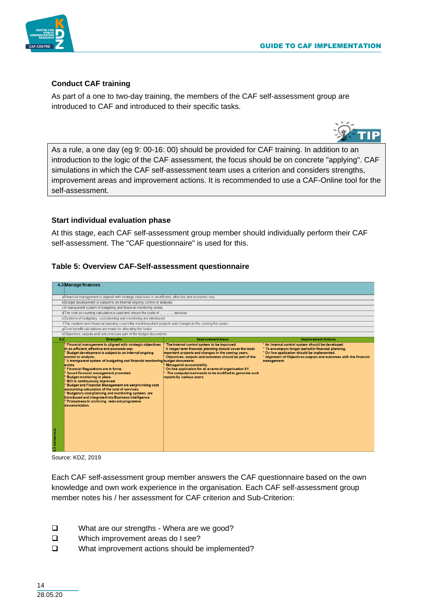

TP



# **Conduct CAF training**

As part of a one to two-day training, the members of the CAF self-assessment group are introduced to CAF and introduced to their specific tasks.



#### **Start individual evaluation phase**

At this stage, each CAF self-assessment group member should individually perform their CAF self-assessment. The "CAF questionnaire" is used for this.

#### **Table 5: Overview CAF-Self-assessment questionnaire**



Source: KDZ, 2019

Each CAF self-assessment group member answers the CAF questionnaire based on the own knowledge and own work experience in the organisation. Each CAF self-assessment group member notes his / her assessment for CAF criterion and Sub-Criterion:

- ❑ What are our strengths Whera are we good?
- ❑ Which improvement areas do I see?
- ❑ What improvement actions should be implemented?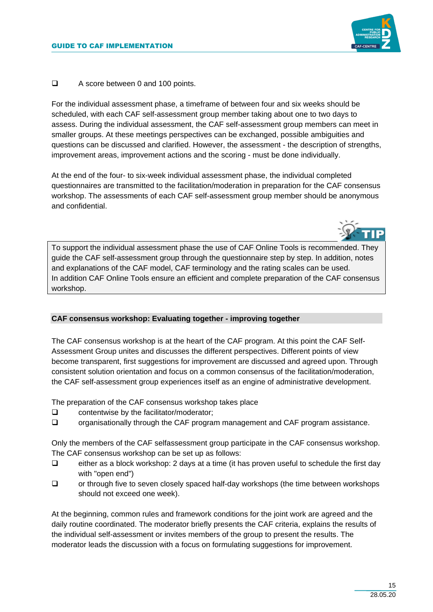

❑ A score between 0 and 100 points.

For the individual assessment phase, a timeframe of between four and six weeks should be scheduled, with each CAF self-assessment group member taking about one to two days to assess. During the individual assessment, the CAF self-assessment group members can meet in smaller groups. At these meetings perspectives can be exchanged, possible ambiguities and questions can be discussed and clarified. However, the assessment - the description of strengths, improvement areas, improvement actions and the scoring - must be done individually.

At the end of the four- to six-week individual assessment phase, the individual completed questionnaires are transmitted to the facilitation/moderation in preparation for the CAF consensus workshop. The assessments of each CAF self-assessment group member should be anonymous and confidential.



To support the individual assessment phase the use of CAF Online Tools is recommended. They guide the CAF self-assessment group through the questionnaire step by step. In addition, notes and explanations of the CAF model, CAF terminology and the rating scales can be used. In addition CAF Online Tools ensure an efficient and complete preparation of the CAF consensus workshop.

# **CAF consensus workshop: Evaluating together - improving together**

The CAF consensus workshop is at the heart of the CAF program. At this point the CAF Self-Assessment Group unites and discusses the different perspectives. Different points of view become transparent, first suggestions for improvement are discussed and agreed upon. Through consistent solution orientation and focus on a common consensus of the facilitation/moderation, the CAF self-assessment group experiences itself as an engine of administrative development.

The preparation of the CAF consensus workshop takes place

- ❑ contentwise by the facilitator/moderator;
- ❑ organisationally through the CAF program management and CAF program assistance.

Only the members of the CAF selfassessment group participate in the CAF consensus workshop. The CAF consensus workshop can be set up as follows:

- ❑ either as a block workshop: 2 days at a time (it has proven useful to schedule the first day with "open end")
- ❑ or through five to seven closely spaced half-day workshops (the time between workshops should not exceed one week).

At the beginning, common rules and framework conditions for the joint work are agreed and the daily routine coordinated. The moderator briefly presents the CAF criteria, explains the results of the individual self-assessment or invites members of the group to present the results. The moderator leads the discussion with a focus on formulating suggestions for improvement.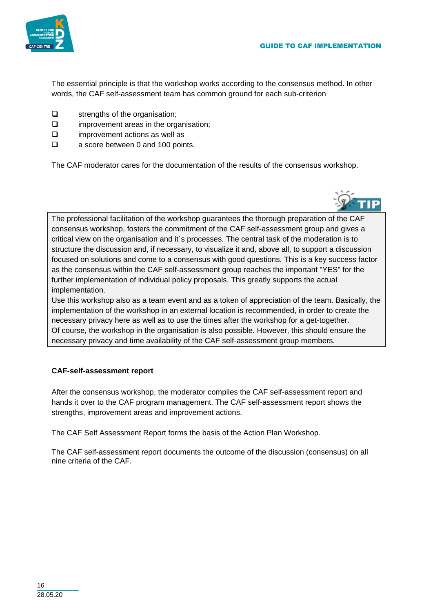

The essential principle is that the workshop works according to the consensus method. In other words, the CAF self-assessment team has common ground for each sub-criterion

- ❑ strengths of the organisation;
- ❑ improvement areas in the organisation;
- ❑ improvement actions as well as
- ❑ a score between 0 and 100 points.

The CAF moderator cares for the documentation of the results of the consensus workshop.



The professional facilitation of the workshop guarantees the thorough preparation of the CAF consensus workshop, fosters the commitment of the CAF self-assessment group and gives a critical view on the organisation and it´s processes. The central task of the moderation is to structure the discussion and, if necessary, to visualize it and, above all, to support a discussion focused on solutions and come to a consensus with good questions. This is a key success factor as the consensus within the CAF self-assessment group reaches the important "YES" for the further implementation of individual policy proposals. This greatly supports the actual implementation.

Use this workshop also as a team event and as a token of appreciation of the team. Basically, the implementation of the workshop in an external location is recommended, in order to create the necessary privacy here as well as to use the times after the workshop for a get-together. Of course, the workshop in the organisation is also possible. However, this should ensure the necessary privacy and time availability of the CAF self-assessment group members.

#### **CAF-self-assessment report**

After the consensus workshop, the moderator compiles the CAF self-assessment report and hands it over to the CAF program management. The CAF self-assessment report shows the strengths, improvement areas and improvement actions.

The CAF Self Assessment Report forms the basis of the Action Plan Workshop.

The CAF self-assessment report documents the outcome of the discussion (consensus) on all nine criteria of the CAF.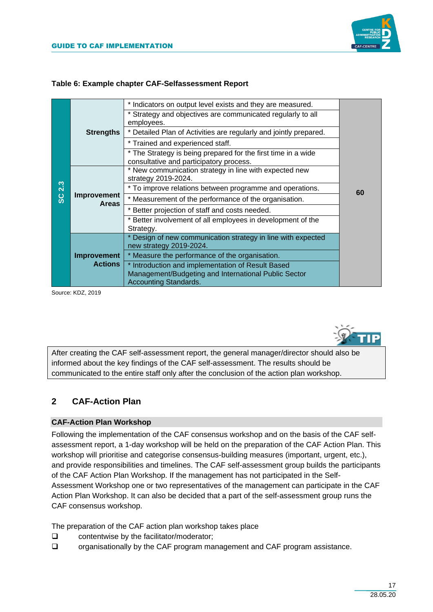

|  | Table 6: Example chapter CAF-Selfassessment Report |
|--|----------------------------------------------------|
|  |                                                    |

| 2.3<br>ပ္တ | <b>Strengths</b>                     | * Indicators on output level exists and they are measured.                                                                                |    |  |
|------------|--------------------------------------|-------------------------------------------------------------------------------------------------------------------------------------------|----|--|
|            |                                      | * Strategy and objectives are communicated regularly to all<br>employees.                                                                 |    |  |
|            |                                      | * Detailed Plan of Activities are regularly and jointly prepared.                                                                         |    |  |
|            |                                      | * Trained and experienced staff.                                                                                                          |    |  |
|            |                                      | * The Strategy is being prepared for the first time in a wide<br>consultative and participatory process.                                  |    |  |
|            | Improvement<br><b>Areas</b>          | * New communication strategy in line with expected new<br>strategy 2019-2024.                                                             | 60 |  |
|            |                                      | * To improve relations between programme and operations.                                                                                  |    |  |
|            |                                      | * Measurement of the performance of the organisation.                                                                                     |    |  |
|            |                                      | * Better projection of staff and costs needed.                                                                                            |    |  |
|            |                                      | * Better involvement of all employees in development of the                                                                               |    |  |
|            |                                      | Strategy.                                                                                                                                 |    |  |
|            |                                      | * Design of new communication strategy in line with expected<br>new strategy 2019-2024.                                                   |    |  |
|            | <b>Improvement</b><br><b>Actions</b> | * Measure the performance of the organisation.                                                                                            |    |  |
|            |                                      | * Introduction and implementation of Result Based<br>Management/Budgeting and International Public Sector<br><b>Accounting Standards.</b> |    |  |

Source: KDZ, 2019



After creating the CAF self-assessment report, the general manager/director should also be informed about the key findings of the CAF self-assessment. The results should be communicated to the entire staff only after the conclusion of the action plan workshop.

# **2 CAF-Action Plan**

### **CAF-Action Plan Workshop**

Following the implementation of the CAF consensus workshop and on the basis of the CAF selfassessment report, a 1-day workshop will be held on the preparation of the CAF Action Plan. This workshop will prioritise and categorise consensus-building measures (important, urgent, etc.), and provide responsibilities and timelines. The CAF self-assessment group builds the participants of the CAF Action Plan Workshop. If the management has not participated in the Self-Assessment Workshop one or two representatives of the management can participate in the CAF Action Plan Workshop. It can also be decided that a part of the self-assessment group runs the CAF consensus workshop.

The preparation of the CAF action plan workshop takes place

- ❑ contentwise by the facilitator/moderator;
- ❑ organisationally by the CAF program management and CAF program assistance.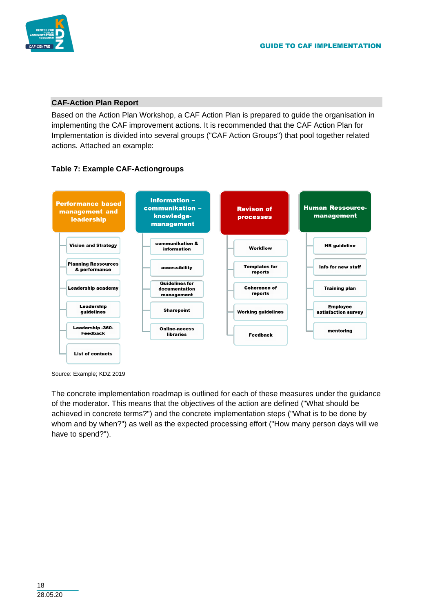

#### **CAF-Action Plan Report**

Based on the Action Plan Workshop, a CAF Action Plan is prepared to guide the organisation in implementing the CAF improvement actions. It is recommended that the CAF Action Plan for Implementation is divided into several groups ("CAF Action Groups") that pool together related actions. Attached an example:

# **Table 7: Example CAF-Actiongroups**



Source: Example; KDZ 2019

The concrete implementation roadmap is outlined for each of these measures under the guidance of the moderator. This means that the objectives of the action are defined ("What should be achieved in concrete terms?") and the concrete implementation steps ("What is to be done by whom and by when?") as well as the expected processing effort ("How many person days will we have to spend?").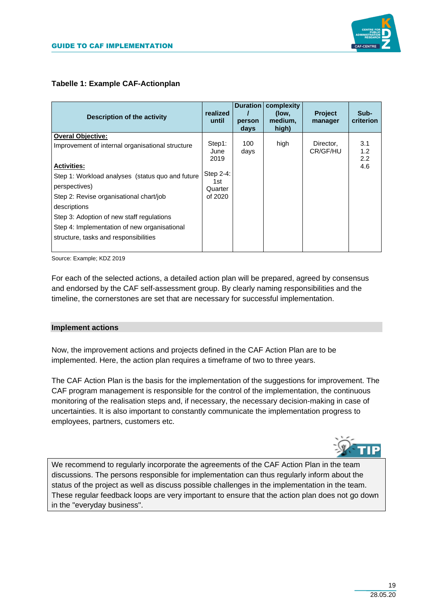# **Tabelle 1: Example CAF-Actionplan**

| <b>Description of the activity</b>                                                                                                                                                                                                                                              | realized<br>until                                                | <b>Duration</b><br>person<br>days | complexity<br>(low,<br>medium,<br>high) | <b>Project</b><br>manager | Sub-<br>criterion        |
|---------------------------------------------------------------------------------------------------------------------------------------------------------------------------------------------------------------------------------------------------------------------------------|------------------------------------------------------------------|-----------------------------------|-----------------------------------------|---------------------------|--------------------------|
| <b>Overal Objective:</b><br>Improvement of internal organisational structure<br><b>Activities:</b><br>Step 1: Workload analyses (status quo and future<br>perspectives)<br>Step 2: Revise organisational chart/job<br>descriptions<br>Step 3: Adoption of new staff regulations | Step1:<br>June<br>2019<br>Step 2-4:<br>1st<br>Quarter<br>of 2020 | 100<br>days                       | high                                    | Director,<br>CR/GF/HU     | 3.1<br>1.2<br>2.2<br>4.6 |
| Step 4: Implementation of new organisational<br>structure, tasks and responsibilities                                                                                                                                                                                           |                                                                  |                                   |                                         |                           |                          |

Source: Example; KDZ 2019

For each of the selected actions, a detailed action plan will be prepared, agreed by consensus and endorsed by the CAF self-assessment group. By clearly naming responsibilities and the timeline, the cornerstones are set that are necessary for successful implementation.

#### **Implement actions**

Now, the improvement actions and projects defined in the CAF Action Plan are to be implemented. Here, the action plan requires a timeframe of two to three years.

The CAF Action Plan is the basis for the implementation of the suggestions for improvement. The CAF program management is responsible for the control of the implementation, the continuous monitoring of the realisation steps and, if necessary, the necessary decision-making in case of uncertainties. It is also important to constantly communicate the implementation progress to employees, partners, customers etc.



We recommend to regularly incorporate the agreements of the CAF Action Plan in the team discussions. The persons responsible for implementation can thus regularly inform about the status of the project as well as discuss possible challenges in the implementation in the team. These regular feedback loops are very important to ensure that the action plan does not go down in the "everyday business".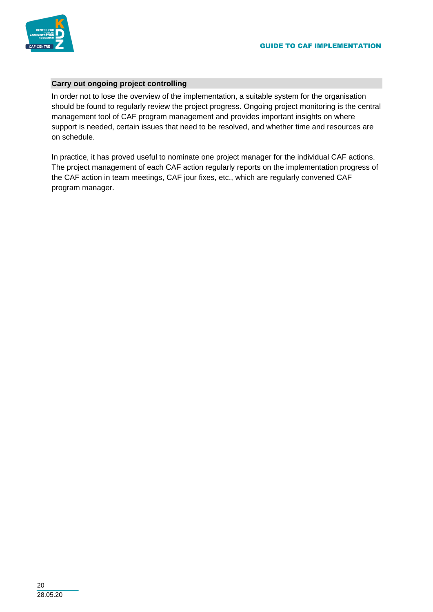

# **Carry out ongoing project controlling**

In order not to lose the overview of the implementation, a suitable system for the organisation should be found to regularly review the project progress. Ongoing project monitoring is the central management tool of CAF program management and provides important insights on where support is needed, certain issues that need to be resolved, and whether time and resources are on schedule.

In practice, it has proved useful to nominate one project manager for the individual CAF actions. The project management of each CAF action regularly reports on the implementation progress of the CAF action in team meetings, CAF jour fixes, etc., which are regularly convened CAF program manager.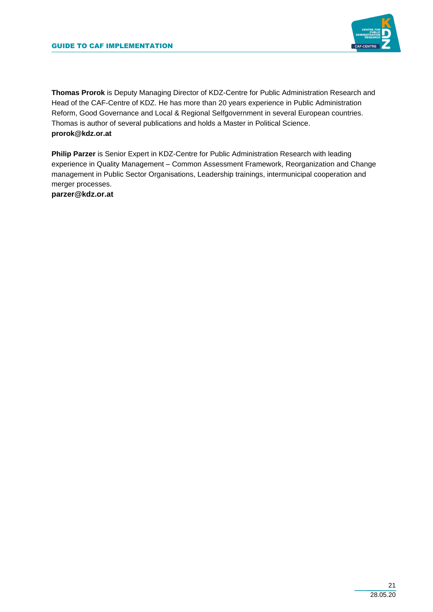

**Thomas Prorok** is Deputy Managing Director of KDZ-Centre for Public Administration Research and Head of the CAF-Centre of KDZ. He has more than 20 years experience in Public Administration Reform, Good Governance and Local & Regional Selfgovernment in several European countries. Thomas is author of several publications and holds a Master in Political Science. **prorok@kdz.or.at**

**Philip Parzer** is Senior Expert in KDZ-Centre for Public Administration Research with leading experience in Quality Management – Common Assessment Framework, Reorganization and Change management in Public Sector Organisations, Leadership trainings, intermunicipal cooperation and merger processes.

**parzer@kdz.or.at**